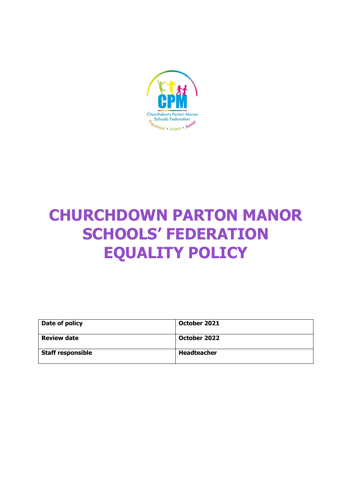

# **CHURCHDOWN PARTON MANOR SCHOOLS' FEDERATION EQUALITY POLICY**

| Date of policy           | October 2021 |
|--------------------------|--------------|
| <b>Review date</b>       | October 2022 |
| <b>Staff responsible</b> | Headteacher  |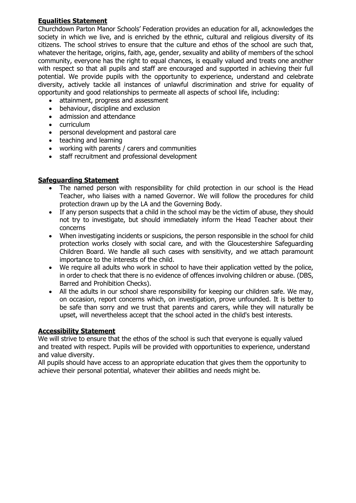# **Equalities Statement**

Churchdown Parton Manor Schools' Federation provides an education for all, acknowledges the society in which we live, and is enriched by the ethnic, cultural and religious diversity of its citizens. The school strives to ensure that the culture and ethos of the school are such that, whatever the heritage, origins, faith, age, gender, sexuality and ability of members of the school community, everyone has the right to equal chances, is equally valued and treats one another with respect so that all pupils and staff are encouraged and supported in achieving their full potential. We provide pupils with the opportunity to experience, understand and celebrate diversity, actively tackle all instances of unlawful discrimination and strive for equality of opportunity and good relationships to permeate all aspects of school life, including:

- attainment, progress and assessment
- behaviour, discipline and exclusion
- admission and attendance
- curriculum
- personal development and pastoral care
- teaching and learning
- working with parents / carers and communities
- staff recruitment and professional development

# **Safeguarding Statement**

- The named person with responsibility for child protection in our school is the Head Teacher, who liaises with a named Governor. We will follow the procedures for child protection drawn up by the LA and the Governing Body.
- If any person suspects that a child in the school may be the victim of abuse, they should not try to investigate, but should immediately inform the Head Teacher about their concerns
- When investigating incidents or suspicions, the person responsible in the school for child protection works closely with social care, and with the Gloucestershire Safeguarding Children Board. We handle all such cases with sensitivity, and we attach paramount importance to the interests of the child.
- We require all adults who work in school to have their application vetted by the police, in order to check that there is no evidence of offences involving children or abuse. (DBS, Barred and Prohibition Checks).
- All the adults in our school share responsibility for keeping our children safe. We may, on occasion, report concerns which, on investigation, prove unfounded. It is better to be safe than sorry and we trust that parents and carers, while they will naturally be upset, will nevertheless accept that the school acted in the child's best interests.

# **Accessibility Statement**

We will strive to ensure that the ethos of the school is such that everyone is equally valued and treated with respect. Pupils will be provided with opportunities to experience, understand and value diversity.

All pupils should have access to an appropriate education that gives them the opportunity to achieve their personal potential, whatever their abilities and needs might be.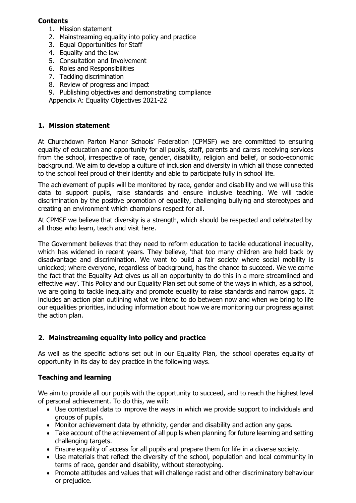## **Contents**

- 1. Mission statement
- 2. Mainstreaming equality into policy and practice
- 3. Equal Opportunities for Staff
- 4. Equality and the law
- 5. Consultation and Involvement
- 6. Roles and Responsibilities
- 7. Tackling discrimination
- 8. Review of progress and impact
- 9. Publishing objectives and demonstrating compliance

Appendix A: Equality Objectives 2021-22

# **1. Mission statement**

At Churchdown Parton Manor Schools' Federation (CPMSF) we are committed to ensuring equality of education and opportunity for all pupils, staff, parents and carers receiving services from the school, irrespective of race, gender, disability, religion and belief, or socio-economic background. We aim to develop a culture of inclusion and diversity in which all those connected to the school feel proud of their identity and able to participate fully in school life.

The achievement of pupils will be monitored by race, gender and disability and we will use this data to support pupils, raise standards and ensure inclusive teaching. We will tackle discrimination by the positive promotion of equality, challenging bullying and stereotypes and creating an environment which champions respect for all.

At CPMSF we believe that diversity is a strength, which should be respected and celebrated by all those who learn, teach and visit here.

The Government believes that they need to reform education to tackle educational inequality, which has widened in recent years. They believe, 'that too many children are held back by disadvantage and discrimination. We want to build a fair society where social mobility is unlocked; where everyone, regardless of background, has the chance to succeed. We welcome the fact that the Equality Act gives us all an opportunity to do this in a more streamlined and effective way'. This Policy and our Equality Plan set out some of the ways in which, as a school, we are going to tackle inequality and promote equality to raise standards and narrow gaps. It includes an action plan outlining what we intend to do between now and when we bring to life our equalities priorities, including information about how we are monitoring our progress against the action plan.

# **2. Mainstreaming equality into policy and practice**

As well as the specific actions set out in our Equality Plan, the school operates equality of opportunity in its day to day practice in the following ways.

# **Teaching and learning**

We aim to provide all our pupils with the opportunity to succeed, and to reach the highest level of personal achievement. To do this, we will:

- Use contextual data to improve the ways in which we provide support to individuals and groups of pupils.
- Monitor achievement data by ethnicity, gender and disability and action any gaps.
- Take account of the achievement of all pupils when planning for future learning and setting challenging targets.
- Ensure equality of access for all pupils and prepare them for life in a diverse society.
- Use materials that reflect the diversity of the school, population and local community in terms of race, gender and disability, without stereotyping.
- Promote attitudes and values that will challenge racist and other discriminatory behaviour or prejudice.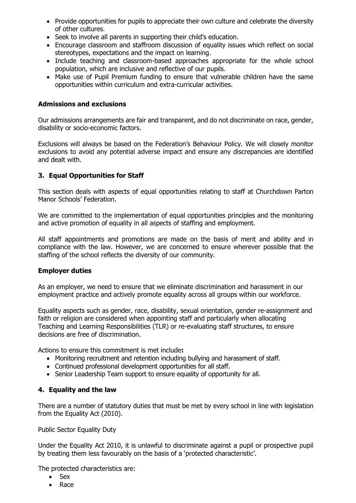- Provide opportunities for pupils to appreciate their own culture and celebrate the diversity of other cultures.
- Seek to involve all parents in supporting their child's education.
- Encourage classroom and staffroom discussion of equality issues which reflect on social stereotypes, expectations and the impact on learning.
- Include teaching and classroom-based approaches appropriate for the whole school population, which are inclusive and reflective of our pupils.
- Make use of Pupil Premium funding to ensure that vulnerable children have the same opportunities within curriculum and extra-curricular activities.

#### **Admissions and exclusions**

Our admissions arrangements are fair and transparent, and do not discriminate on race, gender, disability or socio-economic factors.

Exclusions will always be based on the Federation's Behaviour Policy. We will closely monitor exclusions to avoid any potential adverse impact and ensure any discrepancies are identified and dealt with.

#### **3. Equal Opportunities for Staff**

This section deals with aspects of equal opportunities relating to staff at Churchdown Parton Manor Schools' Federation.

We are committed to the implementation of equal opportunities principles and the monitoring and active promotion of equality in all aspects of staffing and employment.

All staff appointments and promotions are made on the basis of merit and ability and in compliance with the law. However, we are concerned to ensure wherever possible that the staffing of the school reflects the diversity of our community.

#### **Employer duties**

As an employer, we need to ensure that we eliminate discrimination and harassment in our employment practice and actively promote equality across all groups within our workforce.

Equality aspects such as gender, race, disability, sexual orientation, gender re-assignment and faith or religion are considered when appointing staff and particularly when allocating Teaching and Learning Responsibilities (TLR) or re-evaluating staff structures, to ensure decisions are free of discrimination.

Actions to ensure this commitment is met include**:** 

- Monitoring recruitment and retention including bullying and harassment of staff.
- Continued professional development opportunities for all staff.
- Senior Leadership Team support to ensure equality of opportunity for all.

#### **4. Equality and the law**

There are a number of statutory duties that must be met by every school in line with legislation from the Equality Act (2010).

Public Sector Equality Duty

Under the Equality Act 2010, it is unlawful to discriminate against a pupil or prospective pupil by treating them less favourably on the basis of a 'protected characteristic'.

The protected characteristics are:

- Sex
- Race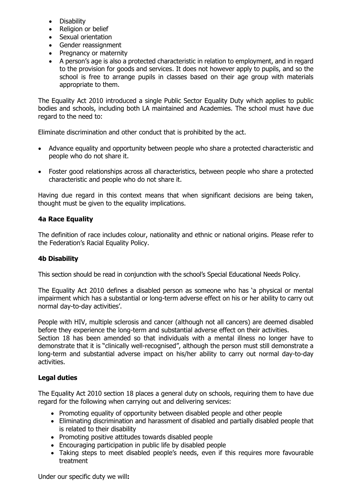- **Disability**
- Religion or belief
- Sexual orientation
- Gender reassignment
- Pregnancy or maternity
- A person's age is also a protected characteristic in relation to employment, and in regard to the provision for goods and services. It does not however apply to pupils, and so the school is free to arrange pupils in classes based on their age group with materials appropriate to them.

The Equality Act 2010 introduced a single Public Sector Equality Duty which applies to public bodies and schools, including both LA maintained and Academies. The school must have due regard to the need to:

Eliminate discrimination and other conduct that is prohibited by the act.

- Advance equality and opportunity between people who share a protected characteristic and people who do not share it.
- Foster good relationships across all characteristics, between people who share a protected characteristic and people who do not share it.

Having due regard in this context means that when significant decisions are being taken, thought must be given to the equality implications.

# **4a Race Equality**

The definition of race includes colour, nationality and ethnic or national origins. Please refer to the Federation's Racial Equality Policy.

# **4b Disability**

This section should be read in conjunction with the school's Special Educational Needs Policy.

The Equality Act 2010 defines a disabled person as someone who has 'a physical or mental impairment which has a substantial or long-term adverse effect on his or her ability to carry out normal day-to-day activities'.

People with HIV, multiple sclerosis and cancer (although not all cancers) are deemed disabled before they experience the long-term and substantial adverse effect on their activities.

Section 18 has been amended so that individuals with a mental illness no longer have to demonstrate that it is "clinically well-recognised", although the person must still demonstrate a long-term and substantial adverse impact on his/her ability to carry out normal day-to-day activities.

# **Legal duties**

The Equality Act 2010 section 18 places a general duty on schools, requiring them to have due regard for the following when carrying out and delivering services:

- Promoting equality of opportunity between disabled people and other people
- Eliminating discrimination and harassment of disabled and partially disabled people that is related to their disability
- Promoting positive attitudes towards disabled people
- Encouraging participation in public life by disabled people
- Taking steps to meet disabled people's needs, even if this requires more favourable treatment

Under our specific duty we will**:**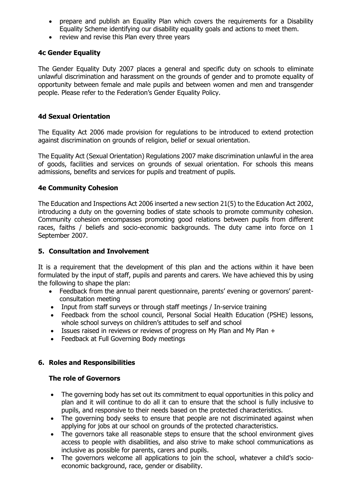- prepare and publish an Equality Plan which covers the requirements for a Disability Equality Scheme identifying our disability equality goals and actions to meet them.
- review and revise this Plan every three years

#### **4c Gender Equality**

The Gender Equality Duty 2007 places a general and specific duty on schools to eliminate unlawful discrimination and harassment on the grounds of gender and to promote equality of opportunity between female and male pupils and between women and men and transgender people. Please refer to the Federation's Gender Equality Policy.

#### **4d Sexual Orientation**

The Equality Act 2006 made provision for regulations to be introduced to extend protection against discrimination on grounds of religion, belief or sexual orientation.

The Equality Act (Sexual Orientation) Regulations 2007 make discrimination unlawful in the area of goods, facilities and services on grounds of sexual orientation. For schools this means admissions, benefits and services for pupils and treatment of pupils.

#### **4e Community Cohesion**

The Education and Inspections Act 2006 inserted a new section 21(5) to the Education Act 2002, introducing a duty on the governing bodies of state schools to promote community cohesion. Community cohesion encompasses promoting good relations between pupils from different races, faiths / beliefs and socio-economic backgrounds. The duty came into force on 1 September 2007.

#### **5. Consultation and Involvement**

It is a requirement that the development of this plan and the actions within it have been formulated by the input of staff, pupils and parents and carers. We have achieved this by using the following to shape the plan:

- Feedback from the annual parent questionnaire, parents' evening or governors' parentconsultation meeting
- Input from staff surveys or through staff meetings / In-service training
- Feedback from the school council, Personal Social Health Education (PSHE) lessons, whole school surveys on children's attitudes to self and school
- Issues raised in reviews or reviews of progress on My Plan and My Plan +
- Feedback at Full Governing Body meetings

## **6. Roles and Responsibilities**

#### **The role of Governors**

- The governing body has set out its commitment to equal opportunities in this policy and plan and it will continue to do all it can to ensure that the school is fully inclusive to pupils, and responsive to their needs based on the protected characteristics.
- The governing body seeks to ensure that people are not discriminated against when applying for jobs at our school on grounds of the protected characteristics.
- The governors take all reasonable steps to ensure that the school environment gives access to people with disabilities, and also strive to make school communications as inclusive as possible for parents, carers and pupils.
- The governors welcome all applications to join the school, whatever a child's socioeconomic background, race, gender or disability.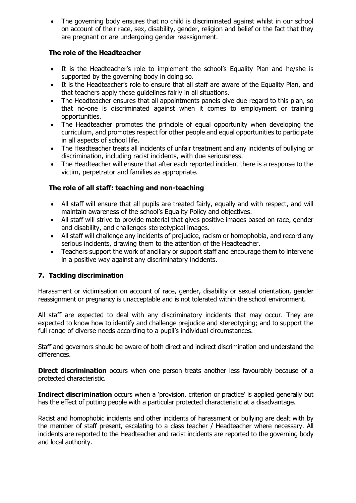The governing body ensures that no child is discriminated against whilst in our school on account of their race, sex, disability, gender, religion and belief or the fact that they are pregnant or are undergoing gender reassignment.

# **The role of the Headteacher**

- It is the Headteacher's role to implement the school's Equality Plan and he/she is supported by the governing body in doing so.
- It is the Headteacher's role to ensure that all staff are aware of the Equality Plan, and that teachers apply these guidelines fairly in all situations.
- The Headteacher ensures that all appointments panels give due regard to this plan, so that no-one is discriminated against when it comes to employment or training opportunities.
- The Headteacher promotes the principle of equal opportunity when developing the curriculum, and promotes respect for other people and equal opportunities to participate in all aspects of school life.
- The Headteacher treats all incidents of unfair treatment and any incidents of bullying or discrimination, including racist incidents, with due seriousness.
- The Headteacher will ensure that after each reported incident there is a response to the victim, perpetrator and families as appropriate.

# **The role of all staff: teaching and non-teaching**

- All staff will ensure that all pupils are treated fairly, equally and with respect, and will maintain awareness of the school's Equality Policy and objectives.
- All staff will strive to provide material that gives positive images based on race, gender and disability, and challenges stereotypical images.
- All staff will challenge any incidents of prejudice, racism or homophobia, and record any serious incidents, drawing them to the attention of the Headteacher.
- Teachers support the work of ancillary or support staff and encourage them to intervene in a positive way against any discriminatory incidents.

## **7. Tackling discrimination**

Harassment or victimisation on account of race, gender, disability or sexual orientation, gender reassignment or pregnancy is unacceptable and is not tolerated within the school environment.

All staff are expected to deal with any discriminatory incidents that may occur. They are expected to know how to identify and challenge prejudice and stereotyping; and to support the full range of diverse needs according to a pupil's individual circumstances.

Staff and governors should be aware of both direct and indirect discrimination and understand the differences.

**Direct discrimination** occurs when one person treats another less favourably because of a protected characteristic.

**Indirect discrimination** occurs when a 'provision, criterion or practice' is applied generally but has the effect of putting people with a particular protected characteristic at a disadvantage.

Racist and homophobic incidents and other incidents of harassment or bullying are dealt with by the member of staff present, escalating to a class teacher / Headteacher where necessary. All incidents are reported to the Headteacher and racist incidents are reported to the governing body and local authority.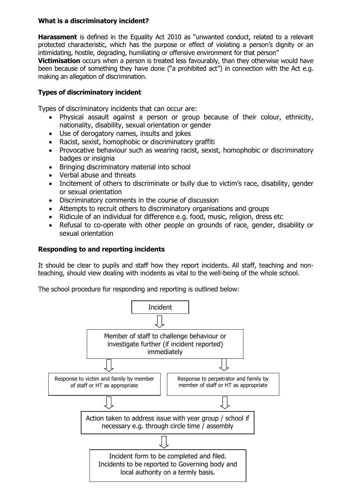# **What is a discriminatory incident?**

**Harassment** is defined in the Equality Act 2010 as "unwanted conduct, related to a relevant protected characteristic, which has the purpose or effect of violating a person's dignity or an intimidating, hostile, degrading, humiliating or offensive environment for that person"

**Victimisation** occurs when a person is treated less favourably, than they otherwise would have been because of something they have done ("a prohibited act") in connection with the Act e.g. making an allegation of discrimination.

# **Types of discriminatory incident**

Types of discriminatory incidents that can occur are:

- Physical assault against a person or group because of their colour, ethnicity, nationality, disability, sexual orientation or gender
- Use of derogatory names, insults and jokes
- Racist, sexist, homophobic or discriminatory graffiti
- Provocative behaviour such as wearing racist, sexist, homophobic or discriminatory badges or insignia
- Bringing discriminatory material into school
- Verbal abuse and threats
- Incitement of others to discriminate or bully due to victim's race, disability, gender or sexual orientation
- Discriminatory comments in the course of discussion
- Attempts to recruit others to discriminatory organisations and groups
- Ridicule of an individual for difference e.g. food, music, religion, dress etc
- Refusal to co-operate with other people on grounds of race, gender, disability or sexual orientation

#### **Responding to and reporting incidents**

It should be clear to pupils and staff how they report incidents. All staff, teaching and nonteaching, should view dealing with incidents as vital to the well-being of the whole school.

The school procedure for responding and reporting is outlined below:

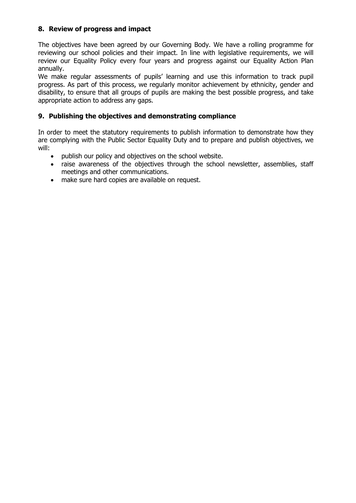# **8. Review of progress and impact**

The objectives have been agreed by our Governing Body. We have a rolling programme for reviewing our school policies and their impact. In line with legislative requirements, we will review our Equality Policy every four years and progress against our Equality Action Plan annually.

We make regular assessments of pupils' learning and use this information to track pupil progress. As part of this process, we regularly monitor achievement by ethnicity, gender and disability, to ensure that all groups of pupils are making the best possible progress, and take appropriate action to address any gaps.

#### **9. Publishing the objectives and demonstrating compliance**

In order to meet the statutory requirements to publish information to demonstrate how they are complying with the Public Sector Equality Duty and to prepare and publish objectives, we will:

- publish our policy and objectives on the school website.
- raise awareness of the objectives through the school newsletter, assemblies, staff meetings and other communications.
- make sure hard copies are available on request.